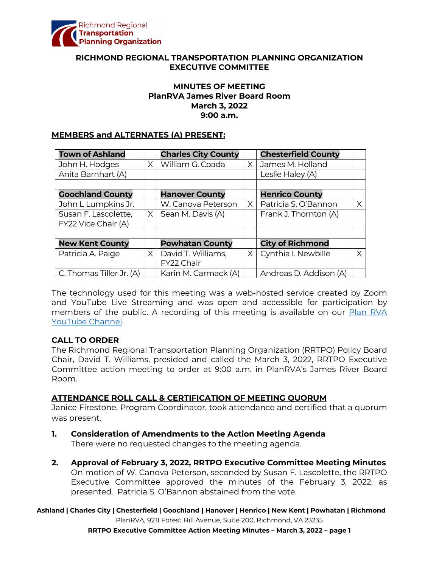

### **RICHMOND REGIONAL TRANSPORTATION PLANNING ORGANIZATION EXECUTIVE COMMITTEE**

### **MINUTES OF MEETING PlanRVA James River Board Room March 3, 2022 9:00 a.m.**

#### **MEMBERS and ALTERNATES (A) PRESENT:**

| <b>Town of Ashland</b>   |          | <b>Charles City County</b> |          | <b>Chesterfield County</b> |   |
|--------------------------|----------|----------------------------|----------|----------------------------|---|
| John H. Hodges           | $\times$ | William G. Coada           | $\times$ | James M. Holland           |   |
| Anita Barnhart (A)       |          |                            |          | Leslie Haley (A)           |   |
|                          |          |                            |          |                            |   |
| <b>Goochland County</b>  |          | <b>Hanover County</b>      |          | <b>Henrico County</b>      |   |
| John L Lumpkins Jr.      |          | W. Canova Peterson         | $\times$ | Patricia S. O'Bannon       | X |
| Susan F. Lascolette,     | $\times$ | Sean M. Davis (A)          |          | Frank J. Thornton (A)      |   |
| FY22 Vice Chair (A)      |          |                            |          |                            |   |
|                          |          |                            |          |                            |   |
| <b>New Kent County</b>   |          | <b>Powhatan County</b>     |          | <b>City of Richmond</b>    |   |
| Patricia A. Paige        | $\times$ | David T. Williams,         | $\times$ | Cynthia I. Newbille        | Χ |
|                          |          | FY22 Chair                 |          |                            |   |
| C. Thomas Tiller Jr. (A) |          | Karin M. Carmack (A)       |          | Andreas D. Addison (A)     |   |

The technology used for this meeting was a web-hosted service created by Zoom and YouTube Live Streaming and was open and accessible for participation by members of the public. A recording of this meeting is available on our Plan RVA [YouTube Channel.](https://www.youtube.com/watch?v=z0QZVILjyig)

### **CALL TO ORDER**

The Richmond Regional Transportation Planning Organization (RRTPO) Policy Board Chair, David T. Williams, presided and called the March 3, 2022, RRTPO Executive Committee action meeting to order at 9:00 a.m. in PlanRVA's James River Board Room.

### **ATTENDANCE ROLL CALL & CERTIFICATION OF MEETING QUORUM**

Janice Firestone, Program Coordinator, took attendance and certified that a quorum was present.

- **1. Consideration of Amendments to the Action Meeting Agenda** There were no requested changes to the meeting agenda.
- **2. Approval of February 3, 2022, RRTPO Executive Committee Meeting Minutes** On motion of W. Canova Peterson, seconded by Susan F. Lascolette, the RRTPO Executive Committee approved the minutes of the February 3, 2022, as presented. Patricia S. O'Bannon abstained from the vote.

**Ashland | Charles City | Chesterfield | Goochland | Hanover | Henrico | New Kent | Powhatan | Richmond** PlanRVA, 9211 Forest Hill Avenue, Suite 200, Richmond, VA 23235

**RRTPO Executive Committee Action Meeting Minutes – March 3, 2022 – page 1**